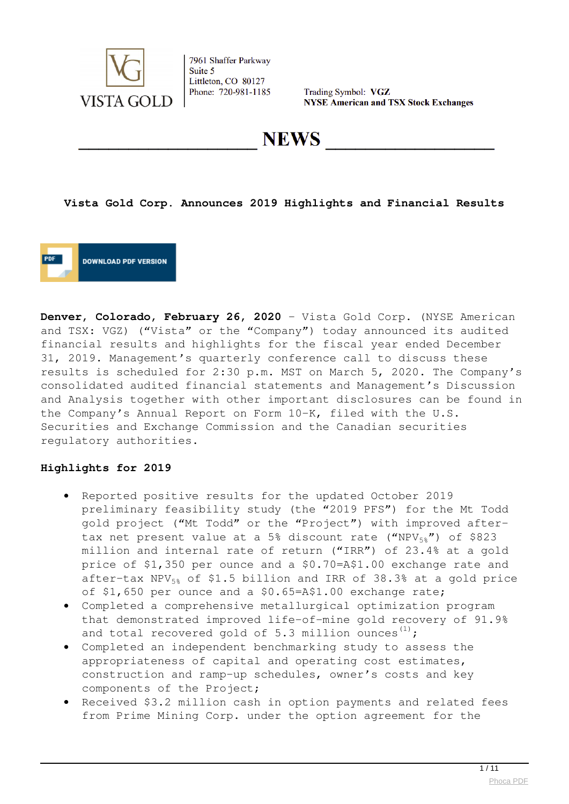

Trading Symbol: VGZ **NYSE American and TSX Stock Exchanges** 

**NEWS** 

**Vista Gold Corp. Announces 2019 Highlights and Financial Results**



**Denver, Colorado, February 26, 2020** – Vista Gold Corp. (NYSE American and TSX: VGZ) ("Vista" or the "Company") today announced its audited financial results and highlights for the fiscal year ended December 31, 2019. Management's quarterly conference call to discuss these results is scheduled for 2:30 p.m. MST on March 5, 2020. The Company's consolidated audited financial statements and Management's Discussion and Analysis together with other important disclosures can be found in the Company's Annual Report on Form 10-K, filed with the U.S. Securities and Exchange Commission and the Canadian securities regulatory authorities.

# **Highlights for 2019**

- Reported positive results for the updated October 2019 preliminary feasibility study (the "2019 PFS") for the Mt Todd gold project ("Mt Todd" or the "Project") with improved aftertax net present value at a 5% discount rate ("NPV $_{58}$ ") of \$823 million and internal rate of return ("IRR") of 23.4% at a gold price of \$1,350 per ounce and a \$0.70=A\$1.00 exchange rate and after-tax  $NPV_{58}$  of \$1.5 billion and IRR of 38.3% at a gold price of  $$1,650$  per ounce and a  $$0.65=$ A $$1.00$  exchange rate;
- Completed a comprehensive metallurgical optimization program that demonstrated improved life-of-mine gold recovery of 91.9% and total recovered gold of 5.3 million ounces<sup>(1)</sup>;
- Completed an independent benchmarking study to assess the appropriateness of capital and operating cost estimates, construction and ramp-up schedules, owner's costs and key components of the Project;
- Received \$3.2 million cash in option payments and related fees from Prime Mining Corp. under the option agreement for the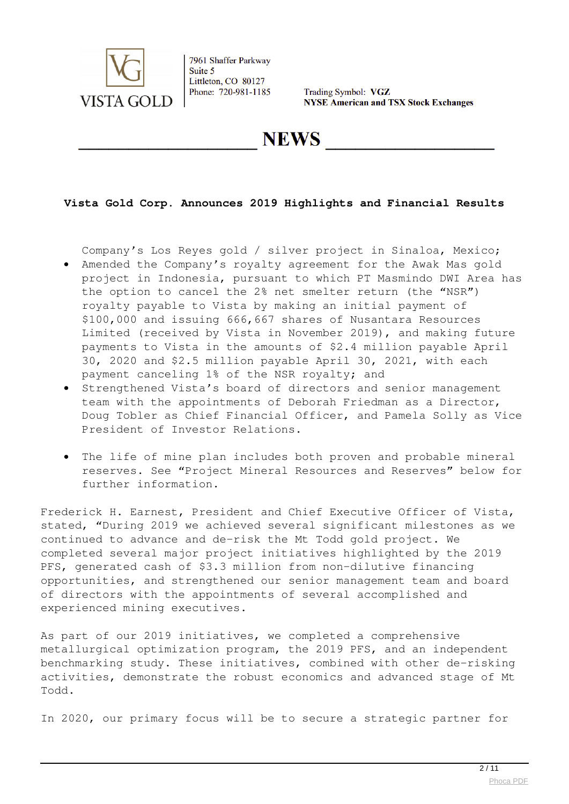

Trading Symbol: VGZ **NYSE American and TSX Stock Exchanges** 

**NEWS** 

## **Vista Gold Corp. Announces 2019 Highlights and Financial Results**

Company's Los Reyes gold / silver project in Sinaloa, Mexico;

- Amended the Company's royalty agreement for the Awak Mas gold project in Indonesia, pursuant to which PT Masmindo DWI Area has the option to cancel the 2% net smelter return (the "NSR") royalty payable to Vista by making an initial payment of \$100,000 and issuing 666,667 shares of Nusantara Resources Limited (received by Vista in November 2019), and making future payments to Vista in the amounts of \$2.4 million payable April 30, 2020 and \$2.5 million payable April 30, 2021, with each payment canceling 1% of the NSR royalty; and
- Strengthened Vista's board of directors and senior management team with the appointments of Deborah Friedman as a Director, Doug Tobler as Chief Financial Officer, and Pamela Solly as Vice President of Investor Relations.
- The life of mine plan includes both proven and probable mineral  $\bullet$ reserves. See "Project Mineral Resources and Reserves" below for further information.

Frederick H. Earnest, President and Chief Executive Officer of Vista, stated, "During 2019 we achieved several significant milestones as we continued to advance and de-risk the Mt Todd gold project. We completed several major project initiatives highlighted by the 2019 PFS, generated cash of \$3.3 million from non-dilutive financing opportunities, and strengthened our senior management team and board of directors with the appointments of several accomplished and experienced mining executives.

As part of our 2019 initiatives, we completed a comprehensive metallurgical optimization program, the 2019 PFS, and an independent benchmarking study. These initiatives, combined with other de-risking activities, demonstrate the robust economics and advanced stage of Mt Todd.

In 2020, our primary focus will be to secure a strategic partner for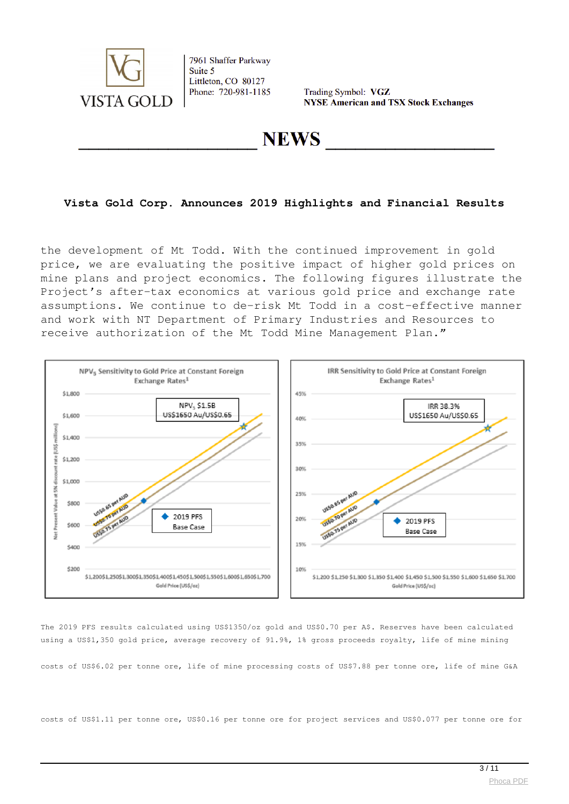

Trading Symbol: VGZ **NYSE American and TSX Stock Exchanges** 

**NEWS** 

## **Vista Gold Corp. Announces 2019 Highlights and Financial Results**

the development of Mt Todd. With the continued improvement in gold price, we are evaluating the positive impact of higher gold prices on mine plans and project economics. The following figures illustrate the Project's after-tax economics at various gold price and exchange rate assumptions. We continue to de-risk Mt Todd in a cost-effective manner and work with NT Department of Primary Industries and Resources to receive authorization of the Mt Todd Mine Management Plan."



The 2019 PFS results calculated using US\$1350/oz gold and US\$0.70 per A\$. Reserves have been calculated using a US\$1,350 gold price, average recovery of 91.9%, 1% gross proceeds royalty, life of mine mining

costs of US\$6.02 per tonne ore, life of mine processing costs of US\$7.88 per tonne ore, life of mine G&A

costs of US\$1.11 per tonne ore, US\$0.16 per tonne ore for project services and US\$0.077 per tonne ore for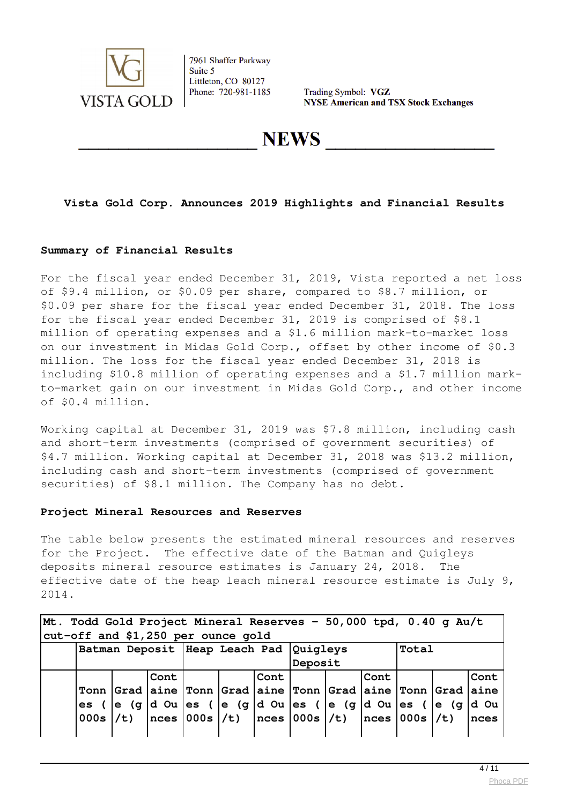

Trading Symbol: VGZ **NYSE American and TSX Stock Exchanges** 

**NEWS** 

## **Vista Gold Corp. Announces 2019 Highlights and Financial Results**

### **Summary of Financial Results**

For the fiscal year ended December 31, 2019, Vista reported a net loss of \$9.4 million, or \$0.09 per share, compared to \$8.7 million, or \$0.09 per share for the fiscal year ended December 31, 2018. The loss for the fiscal year ended December 31, 2019 is comprised of \$8.1 million of operating expenses and a \$1.6 million mark-to-market loss on our investment in Midas Gold Corp., offset by other income of \$0.3 million. The loss for the fiscal year ended December 31, 2018 is including \$10.8 million of operating expenses and a \$1.7 million markto-market gain on our investment in Midas Gold Corp., and other income of \$0.4 million.

Working capital at December 31, 2019 was \$7.8 million, including cash and short-term investments (comprised of government securities) of \$4.7 million. Working capital at December 31, 2018 was \$13.2 million, including cash and short-term investments (comprised of government securities) of \$8.1 million. The Company has no debt.

### **Project Mineral Resources and Reserves**

The table below presents the estimated mineral resources and reserves for the Project. The effective date of the Batman and Quigleys deposits mineral resource estimates is January 24, 2018. The effective date of the heap leach mineral resource estimate is July 9, 2014.

| Mt. Todd Gold Project Mineral Reserves - 50,000 tpd, 0.40 g Au/t |                                                                                                                                                         |  |      |                                        |  |      |         |  |      |                                                                        |  |      |
|------------------------------------------------------------------|---------------------------------------------------------------------------------------------------------------------------------------------------------|--|------|----------------------------------------|--|------|---------|--|------|------------------------------------------------------------------------|--|------|
| cut-off and \$1,250 per ounce gold                               |                                                                                                                                                         |  |      |                                        |  |      |         |  |      |                                                                        |  |      |
|                                                                  |                                                                                                                                                         |  |      | Batman Deposit Heap Leach Pad Quigleys |  |      |         |  |      | Total                                                                  |  |      |
|                                                                  |                                                                                                                                                         |  |      |                                        |  |      | Deposit |  |      |                                                                        |  |      |
|                                                                  |                                                                                                                                                         |  | Cont |                                        |  | Cont |         |  | Cont |                                                                        |  | Cont |
|                                                                  |                                                                                                                                                         |  |      |                                        |  |      |         |  |      | Tonn  Grad  aine  Tonn  Grad  aine  Tonn  Grad  aine  Tonn  Grad  aine |  |      |
|                                                                  | es                                                                                                                                                      |  |      |                                        |  |      |         |  |      | $ e (g d \nou es ( e (g d \nou es ( e (g d \nou es ( e (g$             |  | d Ou |
|                                                                  | $\vert$ 000s $\vert$ /t) $\vert$ nces $\vert$ 000s $\vert$ /t) $\vert$ nces $\vert$ 000s $\vert$ /t) $\vert$ nces $\vert$ 000s $\vert$ /t) $\vert$ nces |  |      |                                        |  |      |         |  |      |                                                                        |  |      |
|                                                                  |                                                                                                                                                         |  |      |                                        |  |      |         |  |      |                                                                        |  |      |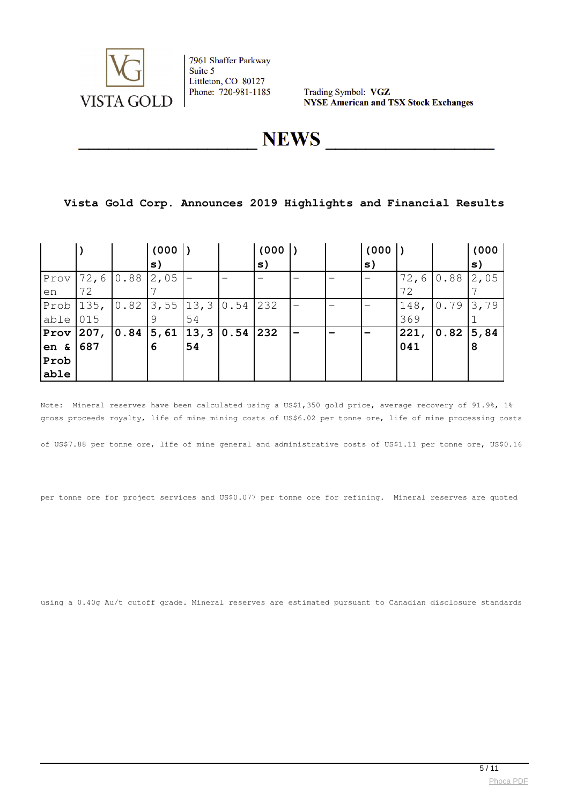

Trading Symbol: VGZ **NYSE American and TSX Stock Exchanges** 

**NEWS** 

## **Vista Gold Corp. Announces 2019 Highlights and Financial Results**

|      |              |           | (000)        |               | (000) |  | (000) |           |      | (000) |
|------|--------------|-----------|--------------|---------------|-------|--|-------|-----------|------|-------|
|      |              |           | s)           |               | s)    |  | s)    |           |      | s)    |
| Prov | $\vert$ 72,6 | 0.88      | 2,05         |               |       |  |       | 72,6 0.88 |      | 2,05  |
| en   | 72           |           |              |               |       |  |       | 72        |      |       |
| Prob | 135,         | 0.82      | 3, 55        | $13, 3$ 0.54  | 232   |  |       | 148,      | 0.79 | 3,79  |
| able | 1015         |           | $\mathsf{Q}$ | 54            |       |  |       | 369       |      |       |
| Prov | 207,         | 0.84 5,61 |              | 13,3 0.54 232 |       |  |       | 221,      | 0.82 | 5, 84 |
| en & | 687          |           | 6            | 54            |       |  |       | 041       |      | 8     |
| Prob |              |           |              |               |       |  |       |           |      |       |
| able |              |           |              |               |       |  |       |           |      |       |

Note: Mineral reserves have been calculated using a US\$1,350 gold price, average recovery of 91.9%, 1% gross proceeds royalty, life of mine mining costs of US\$6.02 per tonne ore, life of mine processing costs

of US\$7.88 per tonne ore, life of mine general and administrative costs of US\$1.11 per tonne ore, US\$0.16

per tonne ore for project services and US\$0.077 per tonne ore for refining. Mineral reserves are quoted

using a 0.40g Au/t cutoff grade. Mineral reserves are estimated pursuant to Canadian disclosure standards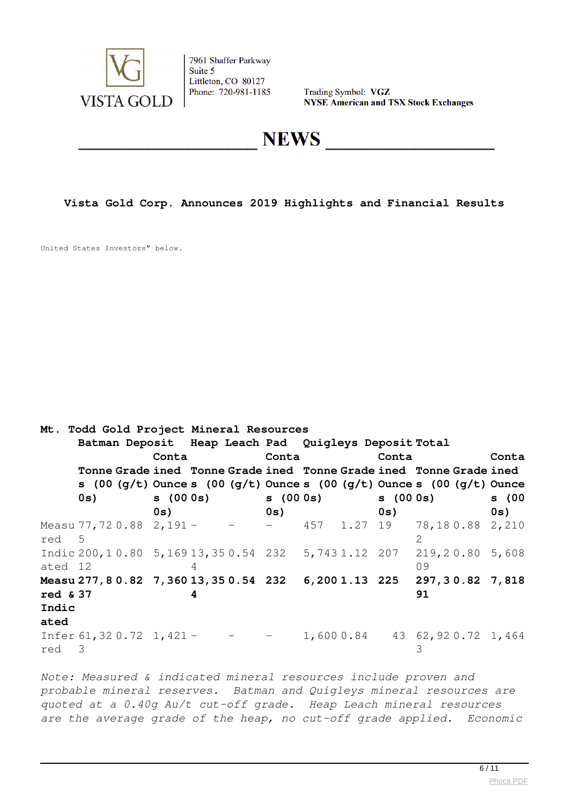

Trading Symbol: VGZ **NYSE American and TSX Stock Exchanges** 

**NEWS** 

**Vista Gold Corp. Announces 2019 Highlights and Financial Results**

United States Investors" below.

**Mt. Todd Gold Project Mineral Resources Batman Deposit Heap Leach Pad Quigleys Deposit Total Tonne Grade ined Tonne Grade ined Tonne Grade ined Tonne Grade ined s (00 (g/t) Ounce s (00 (g/t) Ounce s (00 (g/t) Ounce s (00 (g/t) Ounce 0s) Conta s (00 0s) 0s) Conta s (00 0s) 0s) Conta s (00 0s) 0s) Conta s (00 0s)** Measu 77,72 0.88 2,191 - - - - 457 1.27 19 78,18 red 5  $\mathcal{D}$ 0.88 2,210 Indic 200,1 0.80 5,169 13,35 ated 12 4 5,743 1.12 207 09 219,20.80 5,608 **Measu 277,8 0.82 7,360 13,35 0.54 232 6,200 1.13 225 297,3 red & 37 Indic ated 4 91 0.82 7,818** Infer 61, 32 0.72 1, 421 - - - 1, 600 0.84 43 62, 92 red 3 3 43 62,920.72 1,464

*Note: Measured & indicated mineral resources include proven and probable mineral reserves. Batman and Quigleys mineral resources are quoted at a 0.40g Au/t cut-off grade. Heap Leach mineral resources are the average grade of the heap, no cut-off grade applied. Economic*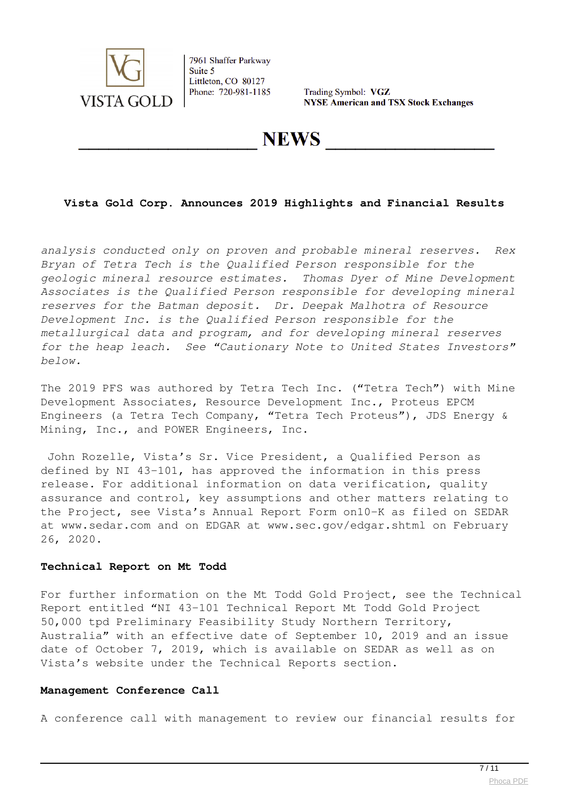

Trading Symbol: VGZ **NYSE American and TSX Stock Exchanges** 

**NEWS** 

### **Vista Gold Corp. Announces 2019 Highlights and Financial Results**

*analysis conducted only on proven and probable mineral reserves. Rex Bryan of Tetra Tech is the Qualified Person responsible for the geologic mineral resource estimates. Thomas Dyer of Mine Development Associates is the Qualified Person responsible for developing mineral reserves for the Batman deposit. Dr. Deepak Malhotra of Resource Development Inc. is the Qualified Person responsible for the metallurgical data and program, and for developing mineral reserves for the heap leach. See "Cautionary Note to United States Investors" below.*

The 2019 PFS was authored by Tetra Tech Inc. ("Tetra Tech") with Mine Development Associates, Resource Development Inc., Proteus EPCM Engineers (a Tetra Tech Company, "Tetra Tech Proteus"), JDS Energy & Mining, Inc., and POWER Engineers, Inc.

 John Rozelle, Vista's Sr. Vice President, a Qualified Person as defined by NI 43-101, has approved the information in this press release. For additional information on data verification, quality assurance and control, key assumptions and other matters relating to the Project, see Vista's Annual Report Form on10-K as filed on SEDAR at www.sedar.com and on EDGAR at www.sec.gov/edgar.shtml on February 26, 2020.

### **Technical Report on Mt Todd**

For further information on the Mt Todd Gold Project, see the Technical Report entitled "NI 43-101 Technical Report Mt Todd Gold Project 50,000 tpd Preliminary Feasibility Study Northern Territory, Australia" with an effective date of September 10, 2019 and an issue date of October 7, 2019, which is available on SEDAR as well as on Vista's website under the Technical Reports section.

#### **Management Conference Call**

A conference call with management to review our financial results for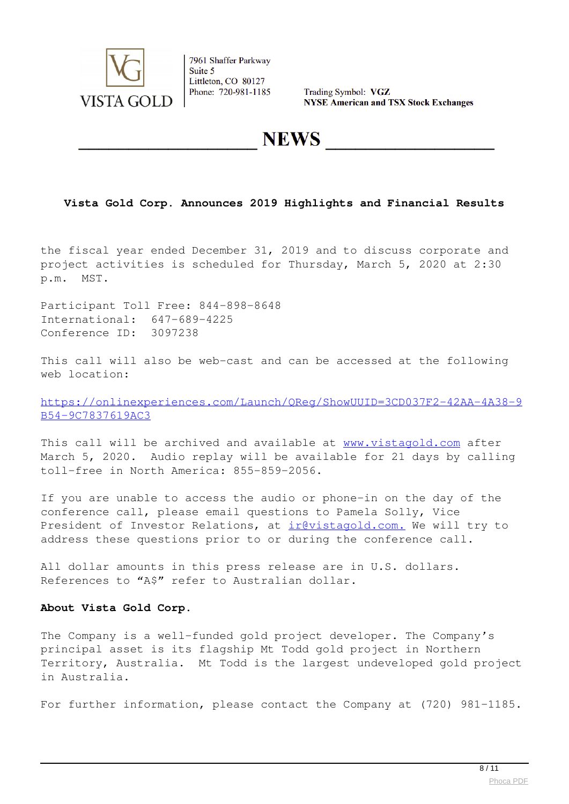

Trading Symbol: VGZ **NYSE American and TSX Stock Exchanges** 

**NEWS** 

## **Vista Gold Corp. Announces 2019 Highlights and Financial Results**

the fiscal year ended December 31, 2019 and to discuss corporate and project activities is scheduled for Thursday, March 5, 2020 at 2:30 p.m. MST.

Participant Toll Free: 844-898-8648 International: 647-689-4225 Conference ID: 3097238

This call will also be web-cast and can be accessed at the following web location:

[https://onlinexperiences.com/Launch/QReg/ShowUUID=3CD037F2-42AA-4A38-9](https://onlinexperiences.com/Launch/QReg/ShowUUID=3CD037F2-42AA-4A38-9B54-9C7837619AC3) [B54-9C7837619AC3](https://onlinexperiences.com/Launch/QReg/ShowUUID=3CD037F2-42AA-4A38-9B54-9C7837619AC3)

This call will be archived and available at [www.vistagold.com](http://www.vistagold.com) after March 5, 2020. Audio replay will be available for 21 days by calling toll-free in North America: 855-859-2056.

If you are unable to access the audio or phone-in on the day of the conference call, please email questions to Pamela Solly, Vice President of Investor Relations, at [ir@vistagold.com.](mailto:ir@vistagold.com.) We will try to address these questions prior to or during the conference call.

All dollar amounts in this press release are in U.S. dollars. References to "A\$" refer to Australian dollar.

### **About Vista Gold Corp.**

The Company is a well-funded gold project developer. The Company's principal asset is its flagship Mt Todd gold project in Northern Territory, Australia. Mt Todd is the largest undeveloped gold project in Australia.

For further information, please contact the Company at (720) 981-1185.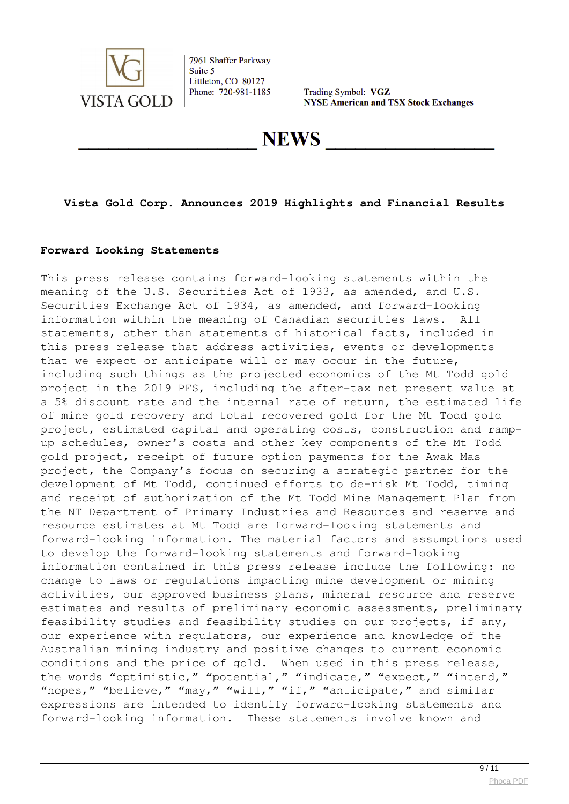

Trading Symbol: VGZ **NYSE American and TSX Stock Exchanges** 

**NEWS** 

# **Vista Gold Corp. Announces 2019 Highlights and Financial Results**

### **Forward Looking Statements**

This press release contains forward-looking statements within the meaning of the U.S. Securities Act of 1933, as amended, and U.S. Securities Exchange Act of 1934, as amended, and forward-looking information within the meaning of Canadian securities laws. All statements, other than statements of historical facts, included in this press release that address activities, events or developments that we expect or anticipate will or may occur in the future, including such things as the projected economics of the Mt Todd gold project in the 2019 PFS, including the after-tax net present value at a 5% discount rate and the internal rate of return, the estimated life of mine gold recovery and total recovered gold for the Mt Todd gold project, estimated capital and operating costs, construction and rampup schedules, owner's costs and other key components of the Mt Todd gold project, receipt of future option payments for the Awak Mas project, the Company's focus on securing a strategic partner for the development of Mt Todd, continued efforts to de-risk Mt Todd, timing and receipt of authorization of the Mt Todd Mine Management Plan from the NT Department of Primary Industries and Resources and reserve and resource estimates at Mt Todd are forward-looking statements and forward-looking information. The material factors and assumptions used to develop the forward-looking statements and forward-looking information contained in this press release include the following: no change to laws or regulations impacting mine development or mining activities, our approved business plans, mineral resource and reserve estimates and results of preliminary economic assessments, preliminary feasibility studies and feasibility studies on our projects, if any, our experience with regulators, our experience and knowledge of the Australian mining industry and positive changes to current economic conditions and the price of gold. When used in this press release, the words "optimistic," "potential," "indicate," "expect," "intend," "hopes," "believe," "may," "will," "if," "anticipate," and similar expressions are intended to identify forward-looking statements and forward-looking information. These statements involve known and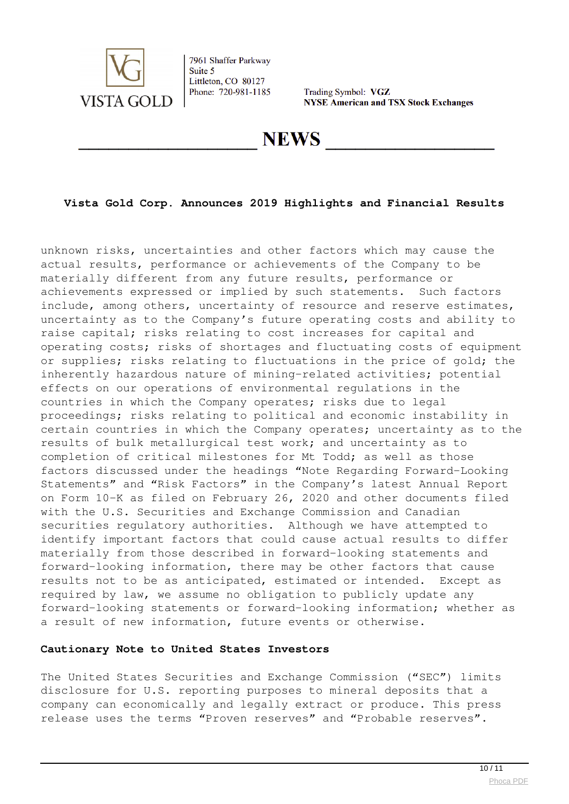

Trading Symbol: VGZ **NYSE American and TSX Stock Exchanges** 

**NEWS** 

## **Vista Gold Corp. Announces 2019 Highlights and Financial Results**

unknown risks, uncertainties and other factors which may cause the actual results, performance or achievements of the Company to be materially different from any future results, performance or achievements expressed or implied by such statements. Such factors include, among others, uncertainty of resource and reserve estimates, uncertainty as to the Company's future operating costs and ability to raise capital; risks relating to cost increases for capital and operating costs; risks of shortages and fluctuating costs of equipment or supplies; risks relating to fluctuations in the price of gold; the inherently hazardous nature of mining-related activities; potential effects on our operations of environmental regulations in the countries in which the Company operates; risks due to legal proceedings; risks relating to political and economic instability in certain countries in which the Company operates; uncertainty as to the results of bulk metallurgical test work; and uncertainty as to completion of critical milestones for Mt Todd; as well as those factors discussed under the headings "Note Regarding Forward-Looking Statements" and "Risk Factors" in the Company's latest Annual Report on Form 10-K as filed on February 26, 2020 and other documents filed with the U.S. Securities and Exchange Commission and Canadian securities regulatory authorities. Although we have attempted to identify important factors that could cause actual results to differ materially from those described in forward-looking statements and forward-looking information, there may be other factors that cause results not to be as anticipated, estimated or intended. Except as required by law, we assume no obligation to publicly update any forward-looking statements or forward-looking information; whether as a result of new information, future events or otherwise.

### **Cautionary Note to United States Investors**

The United States Securities and Exchange Commission ("SEC") limits disclosure for U.S. reporting purposes to mineral deposits that a company can economically and legally extract or produce. This press release uses the terms "Proven reserves" and "Probable reserves".